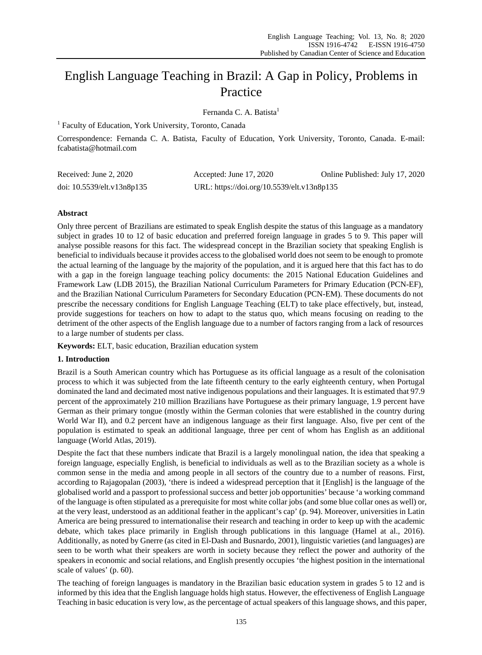# English Language Teaching in Brazil: A Gap in Policy, Problems in Practice

Fernanda C. A. Batista<sup>1</sup>

<sup>1</sup> Faculty of Education, York University, Toronto, Canada

Correspondence: Fernanda C. A. Batista, Faculty of Education, York University, Toronto, Canada. E-mail: fcabatista@hotmail.com

| Received: June 2, 2020     | Accepted: June $17, 2020$                  | Online Published: July 17, 2020 |
|----------------------------|--------------------------------------------|---------------------------------|
| doi: 10.5539/elt.v13n8p135 | URL: https://doi.org/10.5539/elt.v13n8p135 |                                 |

## **Abstract**

Only three percent of Brazilians are estimated to speak English despite the status of this language as a mandatory subject in grades 10 to 12 of basic education and preferred foreign language in grades 5 to 9. This paper will analyse possible reasons for this fact. The widespread concept in the Brazilian society that speaking English is beneficial to individuals because it provides access to the globalised world does not seem to be enough to promote the actual learning of the language by the majority of the population, and it is argued here that this fact has to do with a gap in the foreign language teaching policy documents: the 2015 National Education Guidelines and Framework Law (LDB 2015), the Brazilian National Curriculum Parameters for Primary Education (PCN-EF), and the Brazilian National Curriculum Parameters for Secondary Education (PCN-EM). These documents do not prescribe the necessary conditions for English Language Teaching (ELT) to take place effectively, but, instead, provide suggestions for teachers on how to adapt to the status quo, which means focusing on reading to the detriment of the other aspects of the English language due to a number of factors ranging from a lack of resources to a large number of students per class.

**Keywords:** ELT, basic education, Brazilian education system

### **1. Introduction**

Brazil is a South American country which has Portuguese as its official language as a result of the colonisation process to which it was subjected from the late fifteenth century to the early eighteenth century, when Portugal dominated the land and decimated most native indigenous populations and their languages. It is estimated that 97.9 percent of the approximately 210 million Brazilians have Portuguese as their primary language, 1.9 percent have German as their primary tongue (mostly within the German colonies that were established in the country during World War II), and 0.2 percent have an indigenous language as their first language. Also, five per cent of the population is estimated to speak an additional language, three per cent of whom has English as an additional language (World Atlas, 2019).

Despite the fact that these numbers indicate that Brazil is a largely monolingual nation, the idea that speaking a foreign language, especially English, is beneficial to individuals as well as to the Brazilian society as a whole is common sense in the media and among people in all sectors of the country due to a number of reasons. First, according to Rajagopalan (2003), 'there is indeed a widespread perception that it [English] is the language of the globalised world and a passport to professional success and better job opportunities' because 'a working command of the language is often stipulated as a prerequisite for most white collar jobs (and some blue collar ones as well) or, at the very least, understood as an additional feather in the applicant's cap' (p. 94). Moreover, universities in Latin America are being pressured to internationalise their research and teaching in order to keep up with the academic debate, which takes place primarily in English through publications in this language (Hamel at al., 2016). Additionally, as noted by Gnerre (as cited in El-Dash and Busnardo, 2001), linguistic varieties (and languages) are seen to be worth what their speakers are worth in society because they reflect the power and authority of the speakers in economic and social relations, and English presently occupies 'the highest position in the international scale of values' (p. 60).

The teaching of foreign languages is mandatory in the Brazilian basic education system in grades 5 to 12 and is informed by this idea that the English language holds high status. However, the effectiveness of English Language Teaching in basic education is very low, as the percentage of actual speakers of this language shows, and this paper,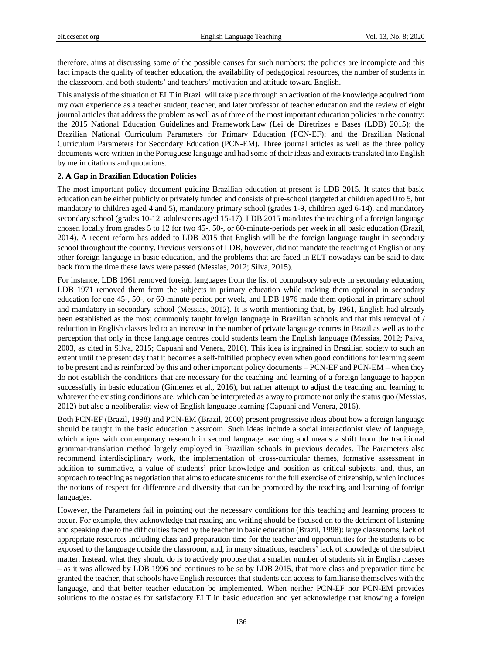therefore, aims at discussing some of the possible causes for such numbers: the policies are incomplete and this fact impacts the quality of teacher education, the availability of pedagogical resources, the number of students in the classroom, and both students' and teachers' motivation and attitude toward English.

This analysis of the situation of ELT in Brazil will take place through an activation of the knowledge acquired from my own experience as a teacher student, teacher, and later professor of teacher education and the review of eight journal articles that address the problem as well as of three of the most important education policies in the country: the 2015 National Education Guidelines and Framework Law (Lei de Diretrizes e Bases (LDB) 2015); the Brazilian National Curriculum Parameters for Primary Education (PCN-EF); and the Brazilian National Curriculum Parameters for Secondary Education (PCN-EM). Three journal articles as well as the three policy documents were written in the Portuguese language and had some of their ideas and extracts translated into English by me in citations and quotations.

#### **2. A Gap in Brazilian Education Policies**

The most important policy document guiding Brazilian education at present is LDB 2015. It states that basic education can be either publicly or privately funded and consists of pre-school (targeted at children aged 0 to 5, but mandatory to children aged 4 and 5), mandatory primary school (grades 1-9, children aged 6-14), and mandatory secondary school (grades 10-12, adolescents aged 15-17). LDB 2015 mandates the teaching of a foreign language chosen locally from grades 5 to 12 for two 45-, 50-, or 60-minute-periods per week in all basic education (Brazil, 2014). A recent reform has added to LDB 2015 that English will be the foreign language taught in secondary school throughout the country. Previous versions of LDB, however, did not mandate the teaching of English or any other foreign language in basic education, and the problems that are faced in ELT nowadays can be said to date back from the time these laws were passed (Messias, 2012; Silva, 2015).

For instance, LDB 1961 removed foreign languages from the list of compulsory subjects in secondary education, LDB 1971 removed them from the subjects in primary education while making them optional in secondary education for one 45-, 50-, or 60-minute-period per week, and LDB 1976 made them optional in primary school and mandatory in secondary school (Messias, 2012). It is worth mentioning that, by 1961, English had already been established as the most commonly taught foreign language in Brazilian schools and that this removal of / reduction in English classes led to an increase in the number of private language centres in Brazil as well as to the perception that only in those language centres could students learn the English language (Messias, 2012; Paiva, 2003, as cited in Silva, 2015; Capuani and Venera, 2016). This idea is ingrained in Brazilian society to such an extent until the present day that it becomes a self-fulfilled prophecy even when good conditions for learning seem to be present and is reinforced by this and other important policy documents – PCN-EF and PCN-EM – when they do not establish the conditions that are necessary for the teaching and learning of a foreign language to happen successfully in basic education (Gimenez et al., 2016), but rather attempt to adjust the teaching and learning to whatever the existing conditions are, which can be interpreted as a way to promote not only the status quo (Messias, 2012) but also a neoliberalist view of English language learning (Capuani and Venera, 2016).

Both PCN-EF (Brazil, 1998) and PCN-EM (Brazil, 2000) present progressive ideas about how a foreign language should be taught in the basic education classroom. Such ideas include a social interactionist view of language, which aligns with contemporary research in second language teaching and means a shift from the traditional grammar-translation method largely employed in Brazilian schools in previous decades. The Parameters also recommend interdisciplinary work, the implementation of cross-curricular themes, formative assessment in addition to summative, a value of students' prior knowledge and position as critical subjects, and, thus, an approach to teaching as negotiation that aims to educate students for the full exercise of citizenship, which includes the notions of respect for difference and diversity that can be promoted by the teaching and learning of foreign languages.

However, the Parameters fail in pointing out the necessary conditions for this teaching and learning process to occur. For example, they acknowledge that reading and writing should be focused on to the detriment of listening and speaking due to the difficulties faced by the teacher in basic education (Brazil, 1998): large classrooms, lack of appropriate resources including class and preparation time for the teacher and opportunities for the students to be exposed to the language outside the classroom, and, in many situations, teachers' lack of knowledge of the subject matter. Instead, what they should do is to actively propose that a smaller number of students sit in English classes – as it was allowed by LDB 1996 and continues to be so by LDB 2015, that more class and preparation time be granted the teacher, that schools have English resources that students can access to familiarise themselves with the language, and that better teacher education be implemented. When neither PCN-EF nor PCN-EM provides solutions to the obstacles for satisfactory ELT in basic education and yet acknowledge that knowing a foreign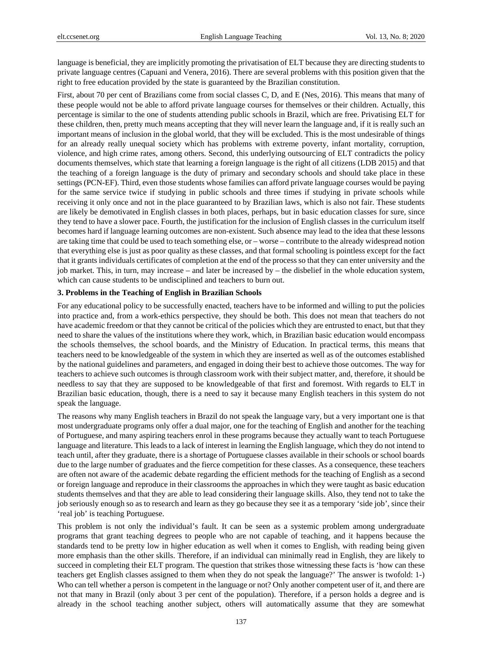language is beneficial, they are implicitly promoting the privatisation of ELT because they are directing students to private language centres (Capuani and Venera, 2016). There are several problems with this position given that the right to free education provided by the state is guaranteed by the Brazilian constitution.

First, about 70 per cent of Brazilians come from social classes C, D, and E (Nes, 2016). This means that many of these people would not be able to afford private language courses for themselves or their children. Actually, this percentage is similar to the one of students attending public schools in Brazil, which are free. Privatising ELT for these children, then, pretty much means accepting that they will never learn the language and, if it is really such an important means of inclusion in the global world, that they will be excluded. This is the most undesirable of things for an already really unequal society which has problems with extreme poverty, infant mortality, corruption, violence, and high crime rates, among others. Second, this underlying outsourcing of ELT contradicts the policy documents themselves, which state that learning a foreign language is the right of all citizens (LDB 2015) and that the teaching of a foreign language is the duty of primary and secondary schools and should take place in these settings (PCN-EF). Third, even those students whose families can afford private language courses would be paying for the same service twice if studying in public schools and three times if studying in private schools while receiving it only once and not in the place guaranteed to by Brazilian laws, which is also not fair. These students are likely be demotivated in English classes in both places, perhaps, but in basic education classes for sure, since they tend to have a slower pace. Fourth, the justification for the inclusion of English classes in the curriculum itself becomes hard if language learning outcomes are non-existent. Such absence may lead to the idea that these lessons are taking time that could be used to teach something else, or – worse – contribute to the already widespread notion that everything else is just as poor quality as these classes, and that formal schooling is pointless except for the fact that it grants individuals certificates of completion at the end of the process so that they can enter university and the job market. This, in turn, may increase – and later be increased by – the disbelief in the whole education system, which can cause students to be undisciplined and teachers to burn out.

#### **3. Problems in the Teaching of English in Brazilian Schools**

For any educational policy to be successfully enacted, teachers have to be informed and willing to put the policies into practice and, from a work-ethics perspective, they should be both. This does not mean that teachers do not have academic freedom or that they cannot be critical of the policies which they are entrusted to enact, but that they need to share the values of the institutions where they work, which, in Brazilian basic education would encompass the schools themselves, the school boards, and the Ministry of Education. In practical terms, this means that teachers need to be knowledgeable of the system in which they are inserted as well as of the outcomes established by the national guidelines and parameters, and engaged in doing their best to achieve those outcomes. The way for teachers to achieve such outcomes is through classroom work with their subject matter, and, therefore, it should be needless to say that they are supposed to be knowledgeable of that first and foremost. With regards to ELT in Brazilian basic education, though, there is a need to say it because many English teachers in this system do not speak the language.

The reasons why many English teachers in Brazil do not speak the language vary, but a very important one is that most undergraduate programs only offer a dual major, one for the teaching of English and another for the teaching of Portuguese, and many aspiring teachers enrol in these programs because they actually want to teach Portuguese language and literature. This leads to a lack of interest in learning the English language, which they do not intend to teach until, after they graduate, there is a shortage of Portuguese classes available in their schools or school boards due to the large number of graduates and the fierce competition for these classes. As a consequence, these teachers are often not aware of the academic debate regarding the efficient methods for the teaching of English as a second or foreign language and reproduce in their classrooms the approaches in which they were taught as basic education students themselves and that they are able to lead considering their language skills. Also, they tend not to take the job seriously enough so as to research and learn as they go because they see it as a temporary 'side job', since their 'real job' is teaching Portuguese.

This problem is not only the individual's fault. It can be seen as a systemic problem among undergraduate programs that grant teaching degrees to people who are not capable of teaching, and it happens because the standards tend to be pretty low in higher education as well when it comes to English, with reading being given more emphasis than the other skills. Therefore, if an individual can minimally read in English, they are likely to succeed in completing their ELT program. The question that strikes those witnessing these facts is 'how can these teachers get English classes assigned to them when they do not speak the language?' The answer is twofold: 1-) Who can tell whether a person is competent in the language or not? Only another competent user of it, and there are not that many in Brazil (only about 3 per cent of the population). Therefore, if a person holds a degree and is already in the school teaching another subject, others will automatically assume that they are somewhat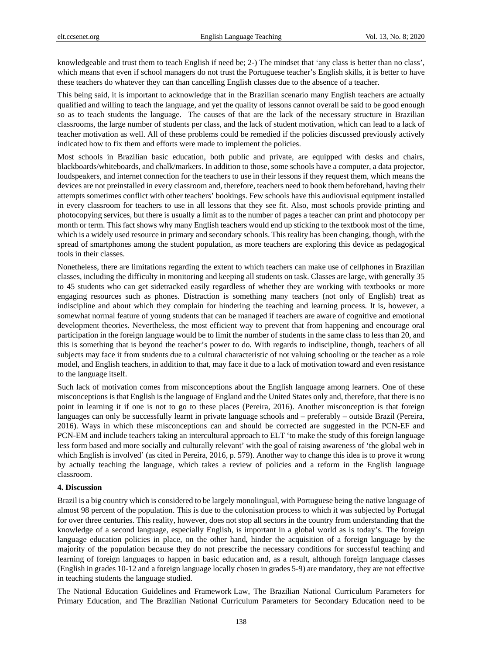knowledgeable and trust them to teach English if need be; 2-) The mindset that 'any class is better than no class', which means that even if school managers do not trust the Portuguese teacher's English skills, it is better to have these teachers do whatever they can than cancelling English classes due to the absence of a teacher.

This being said, it is important to acknowledge that in the Brazilian scenario many English teachers are actually qualified and willing to teach the language, and yet the quality of lessons cannot overall be said to be good enough so as to teach students the language. The causes of that are the lack of the necessary structure in Brazilian classrooms, the large number of students per class, and the lack of student motivation, which can lead to a lack of teacher motivation as well. All of these problems could be remedied if the policies discussed previously actively indicated how to fix them and efforts were made to implement the policies.

Most schools in Brazilian basic education, both public and private, are equipped with desks and chairs, blackboards/whiteboards, and chalk/markers. In addition to those, some schools have a computer, a data projector, loudspeakers, and internet connection for the teachers to use in their lessons if they request them, which means the devices are not preinstalled in every classroom and, therefore, teachers need to book them beforehand, having their attempts sometimes conflict with other teachers' bookings. Few schools have this audiovisual equipment installed in every classroom for teachers to use in all lessons that they see fit. Also, most schools provide printing and photocopying services, but there is usually a limit as to the number of pages a teacher can print and photocopy per month or term. This fact shows why many English teachers would end up sticking to the textbook most of the time, which is a widely used resource in primary and secondary schools. This reality has been changing, though, with the spread of smartphones among the student population, as more teachers are exploring this device as pedagogical tools in their classes.

Nonetheless, there are limitations regarding the extent to which teachers can make use of cellphones in Brazilian classes, including the difficulty in monitoring and keeping all students on task. Classes are large, with generally 35 to 45 students who can get sidetracked easily regardless of whether they are working with textbooks or more engaging resources such as phones. Distraction is something many teachers (not only of English) treat as indiscipline and about which they complain for hindering the teaching and learning process. It is, however, a somewhat normal feature of young students that can be managed if teachers are aware of cognitive and emotional development theories. Nevertheless, the most efficient way to prevent that from happening and encourage oral participation in the foreign language would be to limit the number of students in the same class to less than 20, and this is something that is beyond the teacher's power to do. With regards to indiscipline, though, teachers of all subjects may face it from students due to a cultural characteristic of not valuing schooling or the teacher as a role model, and English teachers, in addition to that, may face it due to a lack of motivation toward and even resistance to the language itself.

Such lack of motivation comes from misconceptions about the English language among learners. One of these misconceptions is that English is the language of England and the United States only and, therefore, that there is no point in learning it if one is not to go to these places (Pereira, 2016). Another misconception is that foreign languages can only be successfully learnt in private language schools and – preferably – outside Brazil (Pereira, 2016). Ways in which these misconceptions can and should be corrected are suggested in the PCN-EF and PCN-EM and include teachers taking an intercultural approach to ELT 'to make the study of this foreign language less form based and more socially and culturally relevant' with the goal of raising awareness of 'the global web in which English is involved' (as cited in Pereira, 2016, p. 579). Another way to change this idea is to prove it wrong by actually teaching the language, which takes a review of policies and a reform in the English language classroom.

#### **4. Discussion**

Brazil is a big country which is considered to be largely monolingual, with Portuguese being the native language of almost 98 percent of the population. This is due to the colonisation process to which it was subjected by Portugal for over three centuries. This reality, however, does not stop all sectors in the country from understanding that the knowledge of a second language, especially English, is important in a global world as is today's. The foreign language education policies in place, on the other hand, hinder the acquisition of a foreign language by the majority of the population because they do not prescribe the necessary conditions for successful teaching and learning of foreign languages to happen in basic education and, as a result, although foreign language classes (English in grades 10-12 and a foreign language locally chosen in grades 5-9) are mandatory, they are not effective in teaching students the language studied.

The National Education Guidelines and Framework Law, The Brazilian National Curriculum Parameters for Primary Education, and The Brazilian National Curriculum Parameters for Secondary Education need to be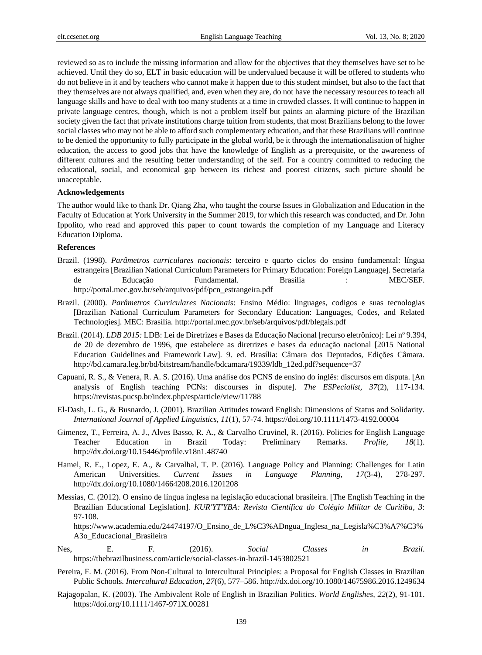reviewed so as to include the missing information and allow for the objectives that they themselves have set to be achieved. Until they do so, ELT in basic education will be undervalued because it will be offered to students who do not believe in it and by teachers who cannot make it happen due to this student mindset, but also to the fact that they themselves are not always qualified, and, even when they are, do not have the necessary resources to teach all language skills and have to deal with too many students at a time in crowded classes. It will continue to happen in private language centres, though, which is not a problem itself but paints an alarming picture of the Brazilian society given the fact that private institutions charge tuition from students, that most Brazilians belong to the lower social classes who may not be able to afford such complementary education, and that these Brazilians will continue to be denied the opportunity to fully participate in the global world, be it through the internationalisation of higher education, the access to good jobs that have the knowledge of English as a prerequisite, or the awareness of different cultures and the resulting better understanding of the self. For a country committed to reducing the educational, social, and economical gap between its richest and poorest citizens, such picture should be unacceptable.

#### **Acknowledgements**

The author would like to thank Dr. Qiang Zha, who taught the course Issues in Globalization and Education in the Faculty of Education at York University in the Summer 2019, for which this research was conducted, and Dr. John Ippolito, who read and approved this paper to count towards the completion of my Language and Literacy Education Diploma.

#### **References**

- Brazil. (1998). *Parâmetros curriculares nacionais*: terceiro e quarto ciclos do ensino fundamental: língua estrangeira [Brazilian National Curriculum Parameters for Primary Education: Foreign Language]. Secretaria de Educação Fundamental. Brasília : MEC/SEF. http://portal.mec.gov.br/seb/arquivos/pdf/pcn\_estrangeira.pdf
- Brazil. (2000). *Parâmetros Curriculares Nacionais*: Ensino Médio: linguages, codigos e suas tecnologias [Brazilian National Curriculum Parameters for Secondary Education: Languages, Codes, and Related Technologies]. MEC: Brasília. http://portal.mec.gov.br/seb/arquivos/pdf/blegais.pdf
- Brazil. (2014). *LDB 2015:* LDB: Lei de Diretrizes e Bases da Educação Nacional [recurso eletrônico]: Lei nº 9.394, de 20 de dezembro de 1996, que estabelece as diretrizes e bases da educação nacional [2015 National Education Guidelines and Framework Law]. 9. ed. Brasília: Câmara dos Deputados, Edições Câmara. http://bd.camara.leg.br/bd/bitstream/handle/bdcamara/19339/ldb\_12ed.pdf?sequence=37
- Capuani, R. S., & Venera, R. A. S. (2016). Uma análise dos PCNS de ensino do inglês: discursos em disputa. [An analysis of English teaching PCNs: discourses in dispute]. *The ESPecialist, 37*(2), 117-134. https://revistas.pucsp.br/index.php/esp/article/view/11788
- El-Dash, L. G., & Busnardo, J. (2001). Brazilian Attitudes toward English: Dimensions of Status and Solidarity. *International Journal of Applied Linguistics, 11*(1), 57-74. https://doi.org/10.1111/1473-4192.00004
- Gimenez, T., Ferreira, A. J., Alves Basso, R. A., & Carvalho Cruvinel, R. (2016). Policies for English Language Teacher Education in Brazil Today: Preliminary Remarks. *Profile, 18*(1). http://dx.doi.org/10.15446/profile.v18n1.48740
- Hamel, R. E., Lopez, E. A., & Carvalhal, T. P. (2016). Language Policy and Planning: Challenges for Latin American Universities. *Current Issues in Language Planning, 17*(3-4), 278-297. http://dx.doi.org/10.1080/14664208.2016.1201208
- Messias, C. (2012). O ensino de língua inglesa na legislação educacional brasileira. [The English Teaching in the Brazilian Educational Legislation]. *KUR'YT'YBA: Revista Científica do Colégio Militar de Curitiba, 3*: 97-108.

https://www.academia.edu/24474197/O\_Ensino\_de\_L%C3%ADngua\_Inglesa\_na\_Legisla%C3%A7%C3% A3o\_Educacional\_Brasileira

- Nes, E. F. (2016). *Social Classes in Brazil*. https://thebrazilbusiness.com/article/social-classes-in-brazil-1453802521
- Pereira, F. M. (2016). From Non-Cultural to Intercultural Principles: a Proposal for English Classes in Brazilian Public Schools. *Intercultural Education, 27*(6), 577–586. http://dx.doi.org/10.1080/14675986.2016.1249634
- Rajagopalan, K. (2003). The Ambivalent Role of English in Brazilian Politics. *World Englishes, 22*(2), 91-101. https://doi.org/10.1111/1467-971X.00281